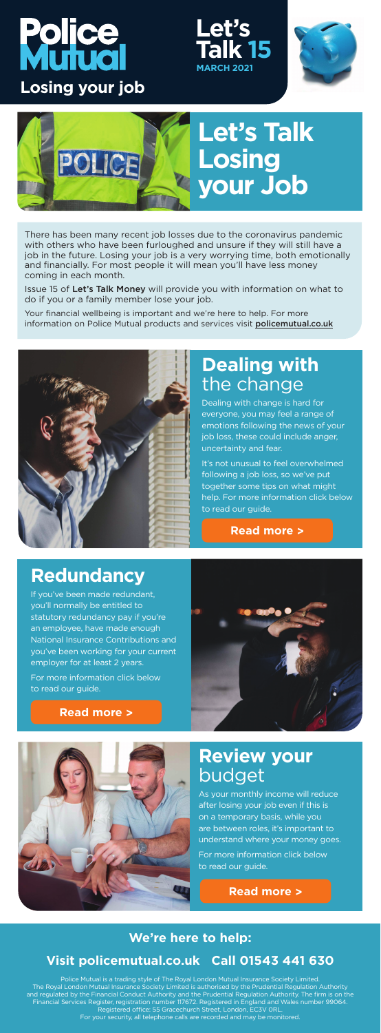#### **We're here to help:**

### **[Visit policemutual.co.uk](http://www.policemutual.co.uk/) Call 01543 441 630**

Police Mutual is a trading style of The Royal London Mutual Insurance Society Limited. The Royal London Mutual Insurance Society Limited is authorised by the Prudential Regulation Authority and regulated by the Financial Conduct Authority and the Prudential Regulation Authority. The firm is on the Financial Services Register, registration number 117672. Registered in England and Wales number 99064. Registered office: 55 Gracechurch Street, London, EC3V 0RL.

# ljce **Huol Losing your job**

Your financial wellbeing is important and we're here to help. For more information on Police Mutual products and services visit **[policemutual.co.uk](http://www.policemutual.co.uk/)** 



For your security, all telephone calls are recorded and may be monitored.





There has been many recent job losses due to the coronavirus pandemic with others who have been furloughed and unsure if they will still have a job in the future. Losing your job is a very worrying time, both emotionally and financially. For most people it will mean you'll have less money coming in each month.

Issue 15 of Let's Talk Money will provide you with information on what to do if you or a family member lose your job.

## **Dealing with**  the change

Dealing with change is hard for everyone, you may feel a range of emotions following the news of your job loss, these could include anger, uncertainty and fear.

It's not unusual to feel overwhelmed following a job loss, so we've put together some tips on what might help. For more information click below to read our guide.

**[Read more >](https://www.policemutual.co.uk/assets/activity/lets-talk-money/newsletter/march-2021/)**



### **Redundancy**

If you've been made redundant, you'll normally be entitled to statutory redundancy pay if you're an employee, have made enough National Insurance Contributions and you've been working for your current employer for at least 2 years.

For more information click below to read our guide.



#### **[Read more >](https://www.policemutual.co.uk/assets/activity/lets-talk-money/newsletter/march-2021/)**



### **Review your**  budget

As your monthly income will reduce after losing your job even if this is on a temporary basis, while you are between roles, it's important to understand where your money goes.

For more information click below to read our guide.

#### **[Read more >](https://www.policemutual.co.uk/assets/activity/lets-talk-money/newsletter/march-2021/)**